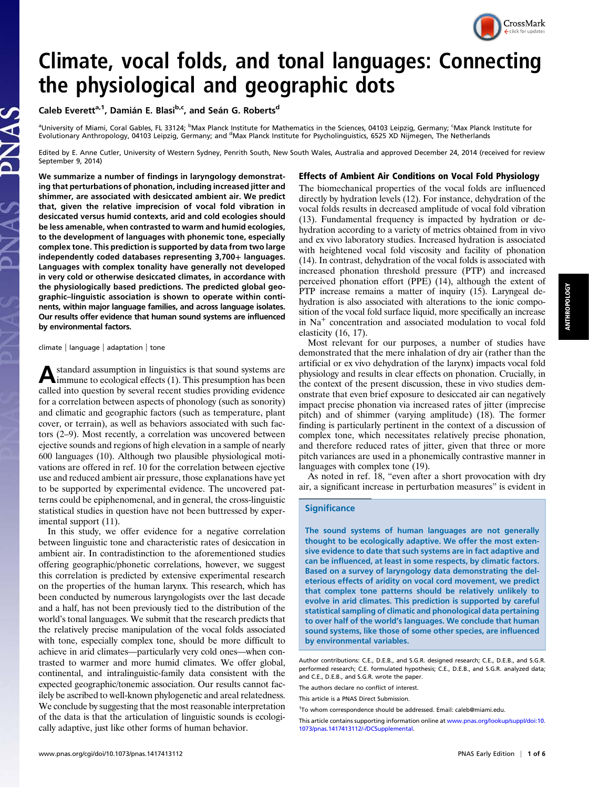# Climate, vocal folds, and tonal languages: Connecting the physiological and geographic dots

Caleb Everett<sup>a,1</sup>, Damián E. Blasi<sup>b,c</sup>, and Seán G. Roberts<sup>d</sup>

<sup>a</sup>University of Miami, Coral Gables, FL 33124; <sup>b</sup>Max Planck Institute for Mathematics in the Sciences, 04103 Leipzig, Germany; <sup>c</sup>Max Planck Institute for Evolutionary Anthropology, 04103 Leipzig, Germany; and <sup>d</sup>Max Planck Institute for Psycholinguistics, 6525 XD Nijmegen, The Netherlands

Edited by E. Anne Cutler, University of Western Sydney, Penrith South, New South Wales, Australia and approved December 24, 2014 (received for review September 9, 2014)

We summarize a number of findings in laryngology demonstrating that perturbations of phonation, including increased jitter and shimmer, are associated with desiccated ambient air. We predict that, given the relative imprecision of vocal fold vibration in desiccated versus humid contexts, arid and cold ecologies should be less amenable, when contrasted to warm and humid ecologies, to the development of languages with phonemic tone, especially complex tone. This prediction is supported by data from two large independently coded databases representing 3,700+ languages. Languages with complex tonality have generally not developed in very cold or otherwise desiccated climates, in accordance with the physiologically based predictions. The predicted global geographic–linguistic association is shown to operate within continents, within major language families, and across language isolates. Our results offer evidence that human sound systems are influenced by environmental factors.

climate | language | adaptation | tone

Astandard assumption in linguistics is that sound systems are immune to ecological effects (1). This presumption has been called into question by several recent studies providing evidence for a correlation between aspects of phonology (such as sonority) and climatic and geographic factors (such as temperature, plant cover, or terrain), as well as behaviors associated with such factors (2–9). Most recently, a correlation was uncovered between ejective sounds and regions of high elevation in a sample of nearly 600 languages (10). Although two plausible physiological motivations are offered in ref. 10 for the correlation between ejective use and reduced ambient air pressure, those explanations have yet to be supported by experimental evidence. The uncovered patterns could be epiphenomenal, and in general, the cross-linguistic statistical studies in question have not been buttressed by experimental support (11).

In this study, we offer evidence for a negative correlation between linguistic tone and characteristic rates of desiccation in ambient air. In contradistinction to the aforementioned studies offering geographic/phonetic correlations, however, we suggest this correlation is predicted by extensive experimental research on the properties of the human larynx. This research, which has been conducted by numerous laryngologists over the last decade and a half, has not been previously tied to the distribution of the world's tonal languages. We submit that the research predicts that the relatively precise manipulation of the vocal folds associated with tone, especially complex tone, should be more difficult to achieve in arid climates—particularly very cold ones—when contrasted to warmer and more humid climates. We offer global, continental, and intralinguistic-family data consistent with the expected geographic/tonemic association. Our results cannot facilely be ascribed to well-known phylogenetic and areal relatedness. We conclude by suggesting that the most reasonable interpretation of the data is that the articulation of linguistic sounds is ecologically adaptive, just like other forms of human behavior.

## Effects of Ambient Air Conditions on Vocal Fold Physiology

The biomechanical properties of the vocal folds are influenced directly by hydration levels (12). For instance, dehydration of the vocal folds results in decreased amplitude of vocal fold vibration (13). Fundamental frequency is impacted by hydration or dehydration according to a variety of metrics obtained from in vivo and ex vivo laboratory studies. Increased hydration is associated with heightened vocal fold viscosity and facility of phonation (14). In contrast, dehydration of the vocal folds is associated with increased phonation threshold pressure (PTP) and increased perceived phonation effort (PPE) (14), although the extent of PTP increase remains a matter of inquiry (15). Laryngeal dehydration is also associated with alterations to the ionic composition of the vocal fold surface liquid, more specifically an increase in Na<sup>+</sup> concentration and associated modulation to vocal fold elasticity (16, 17).

Most relevant for our purposes, a number of studies have demonstrated that the mere inhalation of dry air (rather than the artificial or ex vivo dehydration of the larynx) impacts vocal fold physiology and results in clear effects on phonation. Crucially, in the context of the present discussion, these in vivo studies demonstrate that even brief exposure to desiccated air can negatively impact precise phonation via increased rates of jitter (imprecise pitch) and of shimmer (varying amplitude) (18). The former finding is particularly pertinent in the context of a discussion of complex tone, which necessitates relatively precise phonation, and therefore reduced rates of jitter, given that three or more pitch variances are used in a phonemically contrastive manner in languages with complex tone (19).

As noted in ref. 18, "even after a short provocation with dry air, a significant increase in perturbation measures" is evident in

#### **Significance**

The sound systems of human languages are not generally thought to be ecologically adaptive. We offer the most extensive evidence to date that such systems are in fact adaptive and can be influenced, at least in some respects, by climatic factors. Based on a survey of laryngology data demonstrating the deleterious effects of aridity on vocal cord movement, we predict that complex tone patterns should be relatively unlikely to evolve in arid climates. This prediction is supported by careful statistical sampling of climatic and phonological data pertaining to over half of the world's languages. We conclude that human sound systems, like those of some other species, are influenced by environmental variables.

Author contributions: C.E., D.E.B., and S.G.R. designed research; C.E., D.E.B., and S.G.R. performed research; C.E. formulated hypothesis; C.E., D.E.B., and S.G.R. analyzed data; and C.E., D.E.B., and S.G.R. wrote the paper.

The authors declare no conflict of interest.

<sup>1</sup>To whom correspondence should be addressed. Email: [caleb@miami.edu.](mailto:caleb@miami.edu)



This article is a PNAS Direct Submission.

This article contains supporting information online at [www.pnas.org/lookup/suppl/doi:10.](https://sslvpn.mpi.nl/lookup/suppl/doi:10.1073/pnas.1417413112/-/,DanaInfo=www.pnas.org+DCSupplemental) [1073/pnas.1417413112/-/DCSupplemental](https://sslvpn.mpi.nl/lookup/suppl/doi:10.1073/pnas.1417413112/-/,DanaInfo=www.pnas.org+DCSupplemental).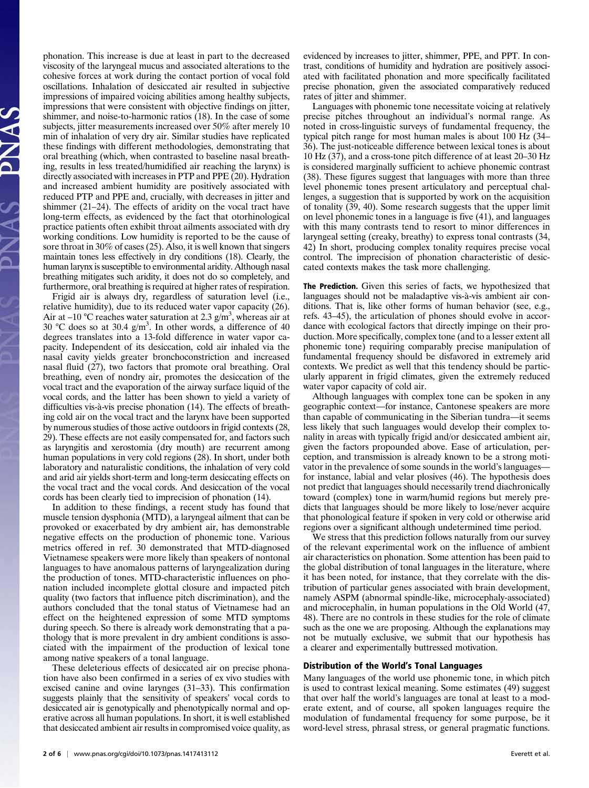phonation. This increase is due at least in part to the decreased viscosity of the laryngeal mucus and associated alterations to the cohesive forces at work during the contact portion of vocal fold oscillations. Inhalation of desiccated air resulted in subjective impressions of impaired voicing abilities among healthy subjects, impressions that were consistent with objective findings on jitter, shimmer, and noise-to-harmonic ratios (18). In the case of some subjects, jitter measurements increased over 50% after merely 10 min of inhalation of very dry air. Similar studies have replicated these findings with different methodologies, demonstrating that oral breathing (which, when contrasted to baseline nasal breathing, results in less treated/humidified air reaching the larynx) is directly associated with increases in PTP and PPE (20). Hydration and increased ambient humidity are positively associated with reduced PTP and PPE and, crucially, with decreases in jitter and shimmer (21–24). The effects of aridity on the vocal tract have long-term effects, as evidenced by the fact that otorhinological practice patients often exhibit throat ailments associated with dry working conditions. Low humidity is reported to be the cause of sore throat in 30% of cases (25). Also, it is well known that singers maintain tones less effectively in dry conditions (18). Clearly, the human larynx is susceptible to environmental aridity. Although nasal breathing mitigates such aridity, it does not do so completely, and furthermore, oral breathing is required at higher rates of respiration.

Frigid air is always dry, regardless of saturation level (i.e., relative humidity), due to its reduced water vapor capacity (26). Air at –10 °C reaches water saturation at 2.3  $g/m<sup>3</sup>$ , whereas air at 30 °C does so at 30.4  $g/m<sup>3</sup>$ . In other words, a difference of 40 degrees translates into a 13-fold difference in water vapor capacity. Independent of its desiccation, cold air inhaled via the nasal cavity yields greater bronchoconstriction and increased nasal fluid (27), two factors that promote oral breathing. Oral breathing, even of nondry air, promotes the desiccation of the vocal tract and the evaporation of the airway surface liquid of the vocal cords, and the latter has been shown to yield a variety of difficulties vis-à-vis precise phonation (14). The effects of breathing cold air on the vocal tract and the larynx have been supported by numerous studies of those active outdoors in frigid contexts (28, 29). These effects are not easily compensated for, and factors such as laryngitis and xerostomia (dry mouth) are recurrent among human populations in very cold regions (28). In short, under both laboratory and naturalistic conditions, the inhalation of very cold and arid air yields short-term and long-term desiccating effects on the vocal tract and the vocal cords. And desiccation of the vocal cords has been clearly tied to imprecision of phonation (14).

In addition to these findings, a recent study has found that muscle tension dysphonia (MTD), a laryngeal ailment that can be provoked or exacerbated by dry ambient air, has demonstrable negative effects on the production of phonemic tone. Various metrics offered in ref. 30 demonstrated that MTD-diagnosed Vietnamese speakers were more likely than speakers of nontonal languages to have anomalous patterns of laryngealization during the production of tones. MTD-characteristic influences on phonation included incomplete glottal closure and impacted pitch quality (two factors that influence pitch discrimination), and the authors concluded that the tonal status of Vietnamese had an effect on the heightened expression of some MTD symptoms during speech. So there is already work demonstrating that a pathology that is more prevalent in dry ambient conditions is associated with the impairment of the production of lexical tone among native speakers of a tonal language.

These deleterious effects of desiccated air on precise phonation have also been confirmed in a series of ex vivo studies with excised canine and ovine larynges (31–33). This confirmation suggests plainly that the sensitivity of speakers' vocal cords to desiccated air is genotypically and phenotypically normal and operative across all human populations. In short, it is well established that desiccated ambient air results in compromised voice quality, as evidenced by increases to jitter, shimmer, PPE, and PPT. In contrast, conditions of humidity and hydration are positively associated with facilitated phonation and more specifically facilitated precise phonation, given the associated comparatively reduced rates of jitter and shimmer.

Languages with phonemic tone necessitate voicing at relatively precise pitches throughout an individual's normal range. As noted in cross-linguistic surveys of fundamental frequency, the typical pitch range for most human males is about 100 Hz (34– 36). The just-noticeable difference between lexical tones is about 10 Hz (37), and a cross-tone pitch difference of at least 20–30 Hz is considered marginally sufficient to achieve phonemic contrast (38). These figures suggest that languages with more than three level phonemic tones present articulatory and perceptual challenges, a suggestion that is supported by work on the acquisition of tonality (39, 40). Some research suggests that the upper limit on level phonemic tones in a language is five (41), and languages with this many contrasts tend to resort to minor differences in laryngeal setting (creaky, breathy) to express tonal contrasts (34, 42) In short, producing complex tonality requires precise vocal control. The imprecision of phonation characteristic of desiccated contexts makes the task more challenging.

The Prediction. Given this series of facts, we hypothesized that languages should not be maladaptive vis-à-vis ambient air conditions. That is, like other forms of human behavior (see, e.g., refs. 43–45), the articulation of phones should evolve in accordance with ecological factors that directly impinge on their production. More specifically, complex tone (and to a lesser extent all phonemic tone) requiring comparably precise manipulation of fundamental frequency should be disfavored in extremely arid contexts. We predict as well that this tendency should be particularly apparent in frigid climates, given the extremely reduced water vapor capacity of cold air.

Although languages with complex tone can be spoken in any geographic context—for instance, Cantonese speakers are more than capable of communicating in the Siberian tundra—it seems less likely that such languages would develop their complex tonality in areas with typically frigid and/or desiccated ambient air, given the factors propounded above. Ease of articulation, perception, and transmission is already known to be a strong motivator in the prevalence of some sounds in the world's languages for instance, labial and velar plosives (46). The hypothesis does not predict that languages should necessarily trend diachronically toward (complex) tone in warm/humid regions but merely predicts that languages should be more likely to lose/never acquire that phonological feature if spoken in very cold or otherwise arid regions over a significant although undetermined time period.

We stress that this prediction follows naturally from our survey of the relevant experimental work on the influence of ambient air characteristics on phonation. Some attention has been paid to the global distribution of tonal languages in the literature, where it has been noted, for instance, that they correlate with the distribution of particular genes associated with brain development, namely ASPM (abnormal spindle-like, microcephaly-associated) and microcephalin, in human populations in the Old World (47, 48). There are no controls in these studies for the role of climate such as the one we are proposing. Although the explanations may not be mutually exclusive, we submit that our hypothesis has a clearer and experimentally buttressed motivation.

### Distribution of the World's Tonal Languages

Many languages of the world use phonemic tone, in which pitch is used to contrast lexical meaning. Some estimates (49) suggest that over half the world's languages are tonal at least to a moderate extent, and of course, all spoken languages require the modulation of fundamental frequency for some purpose, be it word-level stress, phrasal stress, or general pragmatic functions.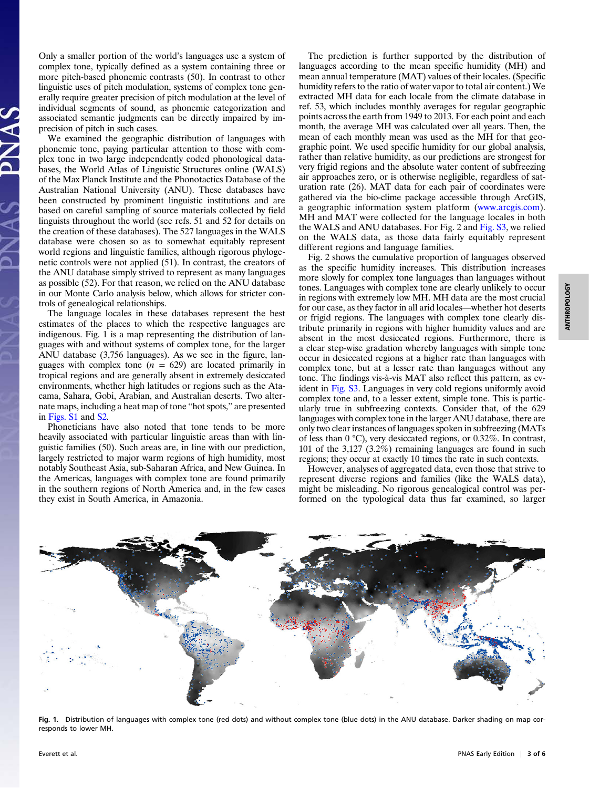Only a smaller portion of the world's languages use a system of complex tone, typically defined as a system containing three or more pitch-based phonemic contrasts (50). In contrast to other linguistic uses of pitch modulation, systems of complex tone generally require greater precision of pitch modulation at the level of individual segments of sound, as phonemic categorization and associated semantic judgments can be directly impaired by imprecision of pitch in such cases.

We examined the geographic distribution of languages with phonemic tone, paying particular attention to those with complex tone in two large independently coded phonological databases, the World Atlas of Linguistic Structures online (WALS) of the Max Planck Institute and the Phonotactics Database of the Australian National University (ANU). These databases have been constructed by prominent linguistic institutions and are based on careful sampling of source materials collected by field linguists throughout the world (see refs. 51 and 52 for details on the creation of these databases). The 527 languages in the WALS database were chosen so as to somewhat equitably represent world regions and linguistic families, although rigorous phylogenetic controls were not applied (51). In contrast, the creators of the ANU database simply strived to represent as many languages as possible (52). For that reason, we relied on the ANU database in our Monte Carlo analysis below, which allows for stricter controls of genealogical relationships.

The language locales in these databases represent the best estimates of the places to which the respective languages are indigenous. Fig.  $1$  is a map representing the distribution of languages with and without systems of complex tone, for the larger ANU database (3,756 languages). As we see in the figure, languages with complex tone  $(n = 629)$  are located primarily in tropical regions and are generally absent in extremely desiccated environments, whether high latitudes or regions such as the Atacama, Sahara, Gobi, Arabian, and Australian deserts. Two alternate maps, including a heat map of tone "hot spots," are presented in [Figs. S1](https://sslvpn.mpi.nl/lookup/suppl/doi:10.1073/pnas.1417413112/-/DCSupplemental/,DanaInfo=www.pnas.org+pnas.201417413SI.pdf?targetid=nameddest=SF1) and [S2.](https://sslvpn.mpi.nl/lookup/suppl/doi:10.1073/pnas.1417413112/-/DCSupplemental/,DanaInfo=www.pnas.org+pnas.201417413SI.pdf?targetid=nameddest=SF2)

Phoneticians have also noted that tone tends to be more heavily associated with particular linguistic areas than with linguistic families (50). Such areas are, in line with our prediction, largely restricted to major warm regions of high humidity, most notably Southeast Asia, sub-Saharan Africa, and New Guinea. In the Americas, languages with complex tone are found primarily in the southern regions of North America and, in the few cases they exist in South America, in Amazonia.

The prediction is further supported by the distribution of languages according to the mean specific humidity (MH) and mean annual temperature (MAT) values of their locales. (Specific humidity refers to the ratio of water vapor to total air content.) We extracted MH data for each locale from the climate database in ref. 53, which includes monthly averages for regular geographic points across the earth from 1949 to 2013. For each point and each month, the average MH was calculated over all years. Then, the mean of each monthly mean was used as the MH for that geographic point. We used specific humidity for our global analysis, rather than relative humidity, as our predictions are strongest for very frigid regions and the absolute water content of subfreezing air approaches zero, or is otherwise negligible, regardless of saturation rate (26). MAT data for each pair of coordinates were gathered via the bio-clime package accessible through ArcGIS, a geographic information system platform ([www.arcgis.com](https://sslvpn.mpi.nl/,DanaInfo=www.arcgis.com+)). MH and MAT were collected for the language locales in both the WALS and ANU databases. For Fig. 2 and [Fig. S3,](https://sslvpn.mpi.nl/lookup/suppl/doi:10.1073/pnas.1417413112/-/DCSupplemental/,DanaInfo=www.pnas.org+pnas.201417413SI.pdf?targetid=nameddest=SF3) we relied on the WALS data, as those data fairly equitably represent different regions and language families.

Fig. 2 shows the cumulative proportion of languages observed as the specific humidity increases. This distribution increases more slowly for complex tone languages than languages without tones. Languages with complex tone are clearly unlikely to occur in regions with extremely low MH. MH data are the most crucial for our case, as they factor in all arid locales—whether hot deserts or frigid regions. The languages with complex tone clearly distribute primarily in regions with higher humidity values and are absent in the most desiccated regions. Furthermore, there is a clear step-wise gradation whereby languages with simple tone occur in desiccated regions at a higher rate than languages with complex tone, but at a lesser rate than languages without any tone. The findings vis-à-vis MAT also reflect this pattern, as evident in [Fig. S3.](https://sslvpn.mpi.nl/lookup/suppl/doi:10.1073/pnas.1417413112/-/DCSupplemental/,DanaInfo=www.pnas.org+pnas.201417413SI.pdf?targetid=nameddest=SF3) Languages in very cold regions uniformly avoid complex tone and, to a lesser extent, simple tone. This is particularly true in subfreezing contexts. Consider that, of the 629 languages with complex tone in the larger ANU database, there are only two clear instances of languages spoken in subfreezing (MATs of less than 0 °C), very desiccated regions, or 0.32%. In contrast, 101 of the 3,127 (3.2%) remaining languages are found in such regions; they occur at exactly 10 times the rate in such contexts.

However, analyses of aggregated data, even those that strive to represent diverse regions and families (like the WALS data), might be misleading. No rigorous genealogical control was performed on the typological data thus far examined, so larger



Fig. 1. Distribution of languages with complex tone (red dots) and without complex tone (blue dots) in the ANU database. Darker shading on map corresponds to lower MH.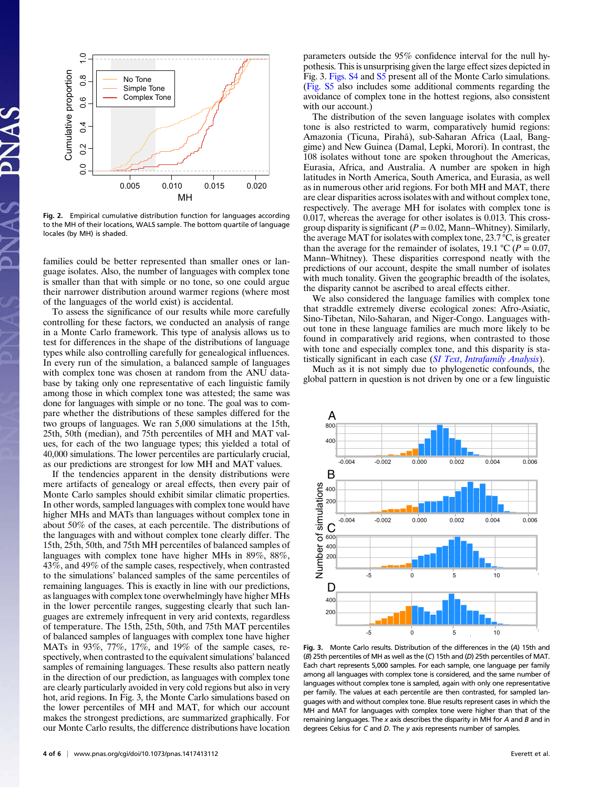

Fig. 2. Empirical cumulative distribution function for languages according to the MH of their locations, WALS sample. The bottom quartile of language locales (by MH) is shaded.

families could be better represented than smaller ones or language isolates. Also, the number of languages with complex tone is smaller than that with simple or no tone, so one could argue their narrower distribution around warmer regions (where most of the languages of the world exist) is accidental.

To assess the significance of our results while more carefully controlling for these factors, we conducted an analysis of range in a Monte Carlo framework. This type of analysis allows us to test for differences in the shape of the distributions of language types while also controlling carefully for genealogical influences. In every run of the simulation, a balanced sample of languages with complex tone was chosen at random from the ANU database by taking only one representative of each linguistic family among those in which complex tone was attested; the same was done for languages with simple or no tone. The goal was to compare whether the distributions of these samples differed for the two groups of languages. We ran 5,000 simulations at the 15th, 25th, 50th (median), and 75th percentiles of MH and MAT values, for each of the two language types; this yielded a total of 40,000 simulations. The lower percentiles are particularly crucial, as our predictions are strongest for low MH and MAT values.

If the tendencies apparent in the density distributions were mere artifacts of genealogy or areal effects, then every pair of Monte Carlo samples should exhibit similar climatic properties. In other words, sampled languages with complex tone would have higher MHs and MATs than languages without complex tone in about 50% of the cases, at each percentile. The distributions of the languages with and without complex tone clearly differ. The 15th, 25th, 50th, and 75th MH percentiles of balanced samples of languages with complex tone have higher MHs in 89%, 88%, 43%, and 49% of the sample cases, respectively, when contrasted to the simulations' balanced samples of the same percentiles of remaining languages. This is exactly in line with our predictions, as languages with complex tone overwhelmingly have higher MHs in the lower percentile ranges, suggesting clearly that such languages are extremely infrequent in very arid contexts, regardless of temperature. The 15th, 25th, 50th, and 75th MAT percentiles of balanced samples of languages with complex tone have higher MATs in 93%, 77%, 17%, and 19% of the sample cases, respectively, when contrasted to the equivalent simulations' balanced samples of remaining languages. These results also pattern neatly in the direction of our prediction, as languages with complex tone are clearly particularly avoided in very cold regions but also in very hot, arid regions. In Fig. 3, the Monte Carlo simulations based on the lower percentiles of MH and MAT, for which our account makes the strongest predictions, are summarized graphically. For our Monte Carlo results, the difference distributions have location parameters outside the 95% confidence interval for the null hypothesis. This is unsurprising given the large effect sizes depicted in Fig. 3. [Figs. S4](https://sslvpn.mpi.nl/lookup/suppl/doi:10.1073/pnas.1417413112/-/DCSupplemental/,DanaInfo=www.pnas.org+pnas.201417413SI.pdf?targetid=nameddest=SF4) and [S5](https://sslvpn.mpi.nl/lookup/suppl/doi:10.1073/pnas.1417413112/-/DCSupplemental/,DanaInfo=www.pnas.org+pnas.201417413SI.pdf?targetid=nameddest=SF5) present all of the Monte Carlo simulations. ([Fig. S5](https://sslvpn.mpi.nl/lookup/suppl/doi:10.1073/pnas.1417413112/-/DCSupplemental/,DanaInfo=www.pnas.org+pnas.201417413SI.pdf?targetid=nameddest=SF5) also includes some additional comments regarding the avoidance of complex tone in the hottest regions, also consistent with our account.)

The distribution of the seven language isolates with complex tone is also restricted to warm, comparatively humid regions: Amazonia (Ticuna, Pirahã), sub-Saharan Africa (Laal, Banggime) and New Guinea (Damal, Lepki, Morori). In contrast, the 108 isolates without tone are spoken throughout the Americas, Eurasia, Africa, and Australia. A number are spoken in high latitudes in North America, South America, and Eurasia, as well as in numerous other arid regions. For both MH and MAT, there are clear disparities across isolates with and without complex tone, respectively. The average MH for isolates with complex tone is 0.017, whereas the average for other isolates is 0.013. This crossgroup disparity is significant ( $P = 0.02$ , Mann–Whitney). Similarly, the average MAT for isolates with complex tone, 23.7 °C, is greater than the average for the remainder of isolates, 19.1 °C ( $P = 0.07$ , Mann–Whitney). These disparities correspond neatly with the predictions of our account, despite the small number of isolates with much tonality. Given the geographic breadth of the isolates, the disparity cannot be ascribed to areal effects either.

We also considered the language families with complex tone that straddle extremely diverse ecological zones: Afro-Asiatic, Sino-Tibetan, Nilo-Saharan, and Niger-Congo. Languages without tone in these language families are much more likely to be found in comparatively arid regions, when contrasted to those with tone and especially complex tone, and this disparity is statistically significant in each case (SI Text, [Intrafamily Analysis](https://sslvpn.mpi.nl/lookup/suppl/doi:10.1073/pnas.1417413112/-/DCSupplemental/,DanaInfo=www.pnas.org+pnas.201417413SI.pdf?targetid=nameddest=STXT)).

Much as it is not simply due to phylogenetic confounds, the global pattern in question is not driven by one or a few linguistic



Fig. 3. Monte Carlo results. Distribution of the differences in the (A) 15th and (B) 25th percentiles of MH as well as the (C) 15th and (D) 25th percentiles of MAT. Each chart represents 5,000 samples. For each sample, one language per family among all languages with complex tone is considered, and the same number of languages without complex tone is sampled, again with only one representative per family. The values at each percentile are then contrasted, for sampled languages with and without complex tone. Blue results represent cases in which the MH and MAT for languages with complex tone were higher than that of the remaining languages. The  $x$  axis describes the disparity in MH for  $A$  and  $B$  and in degrees Celsius for C and D. The y axis represents number of samples.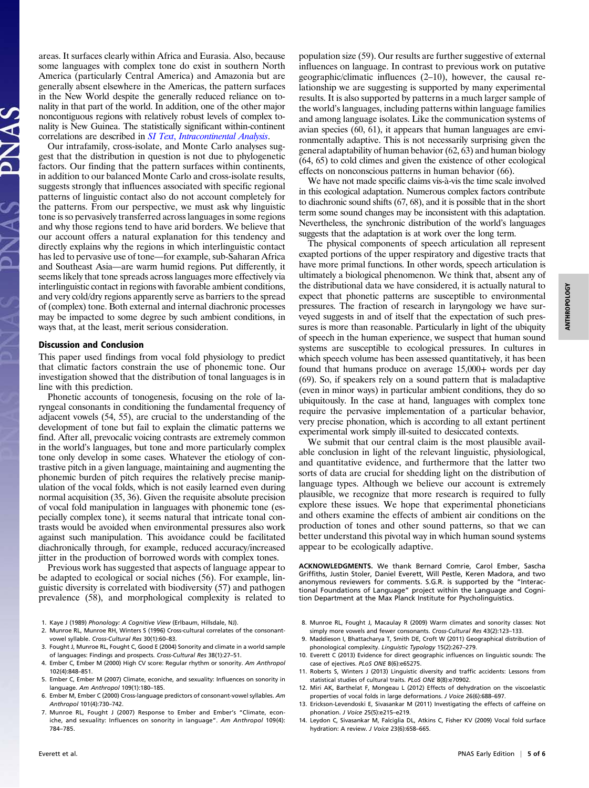areas. It surfaces clearly within Africa and Eurasia. Also, because some languages with complex tone do exist in southern North America (particularly Central America) and Amazonia but are generally absent elsewhere in the Americas, the pattern surfaces in the New World despite the generally reduced reliance on tonality in that part of the world. In addition, one of the other major noncontiguous regions with relatively robust levels of complex tonality is New Guinea. The statistically significant within-continent correlations are described in SI Text, [Intracontinental Analysis](https://sslvpn.mpi.nl/lookup/suppl/doi:10.1073/pnas.1417413112/-/DCSupplemental/,DanaInfo=www.pnas.org+pnas.201417413SI.pdf?targetid=nameddest=STXT).

Our intrafamily, cross-isolate, and Monte Carlo analyses suggest that the distribution in question is not due to phylogenetic factors. Our finding that the pattern surfaces within continents, in addition to our balanced Monte Carlo and cross-isolate results, suggests strongly that influences associated with specific regional patterns of linguistic contact also do not account completely for the patterns. From our perspective, we must ask why linguistic tone is so pervasively transferred across languages in some regions and why those regions tend to have arid borders. We believe that our account offers a natural explanation for this tendency and directly explains why the regions in which interlinguistic contact has led to pervasive use of tone—for example, sub-Saharan Africa and Southeast Asia—are warm humid regions. Put differently, it seems likely that tone spreads across languages more effectively via interlinguistic contact in regions with favorable ambient conditions, and very cold/dry regions apparently serve as barriers to the spread of (complex) tone. Both external and internal diachronic processes may be impacted to some degree by such ambient conditions, in ways that, at the least, merit serious consideration.

#### Discussion and Conclusion

This paper used findings from vocal fold physiology to predict that climatic factors constrain the use of phonemic tone. Our investigation showed that the distribution of tonal languages is in line with this prediction.

Phonetic accounts of tonogenesis, focusing on the role of laryngeal consonants in conditioning the fundamental frequency of adjacent vowels (54, 55), are crucial to the understanding of the development of tone but fail to explain the climatic patterns we find. After all, prevocalic voicing contrasts are extremely common in the world's languages, but tone and more particularly complex tone only develop in some cases. Whatever the etiology of contrastive pitch in a given language, maintaining and augmenting the phonemic burden of pitch requires the relatively precise manipulation of the vocal folds, which is not easily learned even during normal acquisition (35, 36). Given the requisite absolute precision of vocal fold manipulation in languages with phonemic tone (especially complex tone), it seems natural that intricate tonal contrasts would be avoided when environmental pressures also work against such manipulation. This avoidance could be facilitated diachronically through, for example, reduced accuracy/increased jitter in the production of borrowed words with complex tones.

Previous work has suggested that aspects of language appear to be adapted to ecological or social niches (56). For example, linguistic diversity is correlated with biodiversity (57) and pathogen prevalence (58), and morphological complexity is related to

- 1. Kaye J (1989) Phonology: A Cognitive View (Erlbaum, Hillsdale, NJ).
- 2. Munroe RL, Munroe RH, Winters S (1996) Cross-cultural correlates of the consonantvowel syllable. Cross-Cultural Res 30(1):60–83.
- 3. Fought J, Munroe RL, Fought C, Good E (2004) Sonority and climate in a world sample of languages: Findings and prospects. Cross-Cultural Res 38(1):27–51.
- 4. Ember C, Ember M (2000) High CV score: Regular rhythm or sonority. Am Anthropol 102(4):848–851.
- 5. Ember C, Ember M (2007) Climate, econiche, and sexuality: Influences on sonority in language. Am Anthropol 109(1):180–185.
- 6. Ember M, Ember C (2000) Cross-language predictors of consonant-vowel syllables. Am Anthropol 101(4):730–742.
- 7. Munroe RL, Fought J (2007) Response to Ember and Ember's "Climate, econiche, and sexuality: Influences on sonority in language". Am Anthropol 109(4): 784–785.

population size (59). Our results are further suggestive of external influences on language. In contrast to previous work on putative geographic/climatic influences (2–10), however, the causal relationship we are suggesting is supported by many experimental results. It is also supported by patterns in a much larger sample of the world's languages, including patterns within language families and among language isolates. Like the communication systems of avian species (60, 61), it appears that human languages are environmentally adaptive. This is not necessarily surprising given the general adaptability of human behavior (62, 63) and human biology (64, 65) to cold climes and given the existence of other ecological effects on nonconscious patterns in human behavior (66).

We have not made specific claims vis-à-vis the time scale involved in this ecological adaptation. Numerous complex factors contribute to diachronic sound shifts (67, 68), and it is possible that in the short term some sound changes may be inconsistent with this adaptation. Nevertheless, the synchronic distribution of the world's languages suggests that the adaptation is at work over the long term.

The physical components of speech articulation all represent exapted portions of the upper respiratory and digestive tracts that have more primal functions. In other words, speech articulation is ultimately a biological phenomenon. We think that, absent any of the distributional data we have considered, it is actually natural to expect that phonetic patterns are susceptible to environmental pressures. The fraction of research in laryngology we have surveyed suggests in and of itself that the expectation of such pressures is more than reasonable. Particularly in light of the ubiquity of speech in the human experience, we suspect that human sound systems are susceptible to ecological pressures. In cultures in which speech volume has been assessed quantitatively, it has been found that humans produce on average 15,000+ words per day (69). So, if speakers rely on a sound pattern that is maladaptive (even in minor ways) in particular ambient conditions, they do so ubiquitously. In the case at hand, languages with complex tone require the pervasive implementation of a particular behavior, very precise phonation, which is according to all extant pertinent experimental work simply ill-suited to desiccated contexts.

We submit that our central claim is the most plausible available conclusion in light of the relevant linguistic, physiological, and quantitative evidence, and furthermore that the latter two sorts of data are crucial for shedding light on the distribution of language types. Although we believe our account is extremely plausible, we recognize that more research is required to fully explore these issues. We hope that experimental phoneticians and others examine the effects of ambient air conditions on the production of tones and other sound patterns, so that we can better understand this pivotal way in which human sound systems appear to be ecologically adaptive.

ACKNOWLEDGMENTS. We thank Bernard Comrie, Carol Ember, Sascha Griffiths, Justin Stoler, Daniel Everett, Will Pestle, Keren Madora, and two anonymous reviewers for comments. S.G.R. is supported by the "Interactional Foundations of Language" project within the Language and Cognition Department at the Max Planck Institute for Psycholinguistics.

- 8. Munroe RL, Fought J, Macaulay R (2009) Warm climates and sonority classes: Not simply more vowels and fewer consonants. Cross-Cultural Res 43(2):123–133.
- 9. Maddieson I, Bhattacharya T, Smith DE, Croft W (2011) Geographical distribution of phonological complexity. Linguistic Typology 15(2):267–279.
- 10. Everett C (2013) Evidence for direct geographic influences on linguistic sounds: The case of ejectives. PLoS ONE 8(6):e65275.
- 11. Roberts S, Winters J (2013) Linguistic diversity and traffic accidents: Lessons from statistical studies of cultural traits. PLoS ONE 8(8):e70902.
- 12. Miri AK, Barthelat F, Mongeau L (2012) Effects of dehydration on the viscoelastic properties of vocal folds in large deformations. J Voice 26(6):688–697.
- 13. Erickson-Levendoski E, Sivasankar M (2011) Investigating the effects of caffeine on phonation. J Voice 25(5):e215–e219.
- 14. Leydon C, Sivasankar M, Falciglia DL, Atkins C, Fisher KV (2009) Vocal fold surface hydration: A review. J Voice 23(6):658–665.